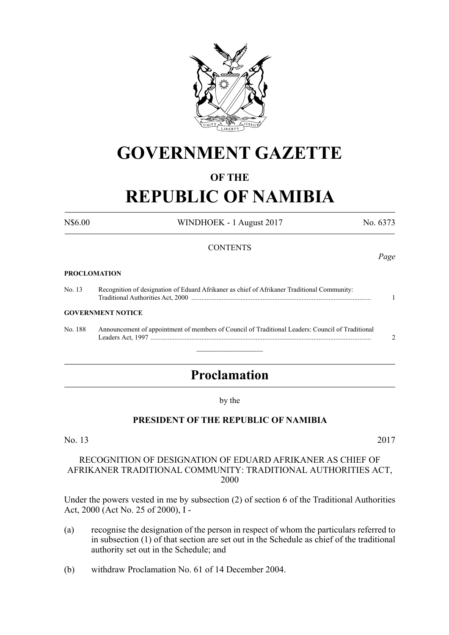

# **GOVERNMENT GAZETTE**

## **OF THE**

# **REPUBLIC OF NAMIBIA**

N\$6.00 WINDHOEK - 1 August 2017 No. 6373

#### **CONTENTS**

#### **PROCLOMATION**

No. 13 Recognition of designation of Eduard Afrikaner as chief of Afrikaner Traditional Community: Traditional Authorities Act, 2000 .......................................................................................................... 1

#### **GOVERNMENT NOTICE**

No. 188 Announcement of appointment of members of Council of Traditional Leaders: Council of Traditional Leaders Act, 1997 .................................................................................................................................. 2

# **Proclamation**

 $\overline{\phantom{a}}$  , where  $\overline{\phantom{a}}$ 

by the

#### **PRESIDENT OF THE REPUBLIC OF NAMIBIA**

#### No. 13 2017

#### RECOGNITION OF DESIGNATION OF EDUARD AFRIKANER AS CHIEF OF AFRIKANER TRADITIONAL COMMUNITY: TRADITIONAL AUTHORITIES ACT, 2000

Under the powers vested in me by subsection (2) of section 6 of the Traditional Authorities Act, 2000 (Act No. 25 of 2000), I -

- (a) recognise the designation of the person in respect of whom the particulars referred to in subsection (1) of that section are set out in the Schedule as chief of the traditional authority set out in the Schedule; and
- (b) withdraw Proclamation No. 61 of 14 December 2004.

*Page*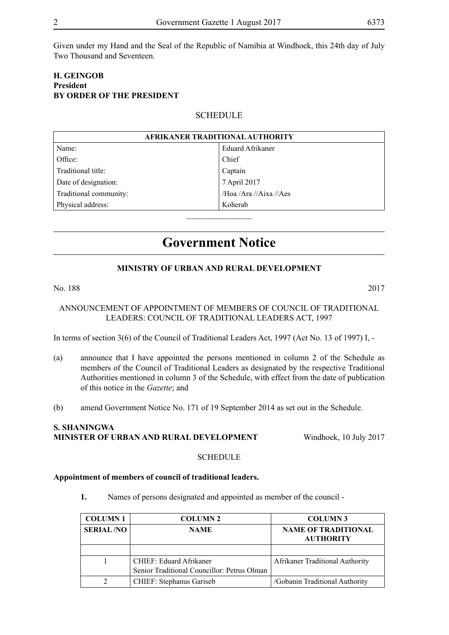Given under my Hand and the Seal of the Republic of Namibia at Windhoek, this 24th day of July Two Thousand and Seventeen.

## **H. Geingob President BY ORDER OF THE PRESIDENT**

### **SCHEDULE**

| AFRIKANER TRADITIONAL AUTHORITY |                        |  |
|---------------------------------|------------------------|--|
| Name:                           | Eduard Afrikaner       |  |
| Office:                         | Chief                  |  |
| Traditional title:              | Captain                |  |
| Date of designation:            | 7 April 2017           |  |
| Traditional community:          | /Hoa /Ara //Aixa //Aes |  |
| Physical address:               | Koherab                |  |
|                                 |                        |  |

# **Government Notice**

#### **MINISTRY OF URBAN AND RURAL DEVELOPMENT**

#### No. 188 2017

#### ANNOUNCEMENT OF APPOINTMENT OF MEMBERS OF COUNCIL OF TRADITIONAL LEADERS: COUNCIL OF TRADITIONAL LEADERS ACT, 1997

In terms of section 3(6) of the Council of Traditional Leaders Act, 1997 (Act No. 13 of 1997) I, -

- (a) announce that I have appointed the persons mentioned in column 2 of the Schedule as members of the Council of Traditional Leaders as designated by the respective Traditional Authorities mentioned in column 3 of the Schedule, with effect from the date of publication of this notice in the *Gazette*; and
- (b) amend Government Notice No. 171 of 19 September 2014 as set out in the Schedule.

### **S. Shaningwa Minister of Urban and Rural Development** Windhoek, 10 July 2017

#### **SCHEDULE**

#### **Appointment of members of council of traditional leaders.**

**1.** Names of persons designated and appointed as member of the council -

| <b>COLUMN1</b>   | <b>COLUMN 2</b>                                                        | <b>COLUMN3</b>                                 |
|------------------|------------------------------------------------------------------------|------------------------------------------------|
| <b>SERIAL/NO</b> | <b>NAME</b>                                                            | <b>NAME OF TRADITIONAL</b><br><b>AUTHORITY</b> |
|                  |                                                                        |                                                |
|                  | CHIEF: Eduard Afrikaner<br>Senior Traditional Councillor: Petrus Olman | <b>Afrikaner Traditional Authority</b>         |
|                  | <b>CHIEF: Stephanus Gariseb</b>                                        | /Gobanin Traditional Authority                 |